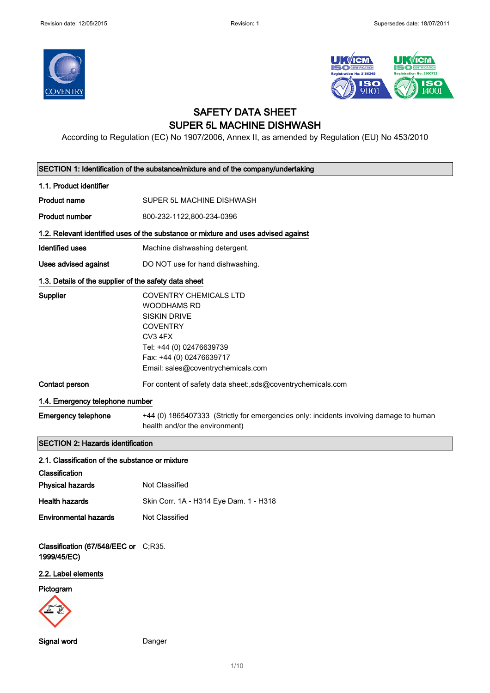



## SAFETY DATA SHEET SUPER 5L MACHINE DISHWASH

According to Regulation (EC) No 1907/2006, Annex II, as amended by Regulation (EU) No 453/2010

| SECTION 1: Identification of the substance/mixture and of the company/undertaking |                                                                                                                                                                                                        |  |
|-----------------------------------------------------------------------------------|--------------------------------------------------------------------------------------------------------------------------------------------------------------------------------------------------------|--|
| 1.1. Product identifier                                                           |                                                                                                                                                                                                        |  |
| <b>Product name</b>                                                               | SUPER 5L MACHINE DISHWASH                                                                                                                                                                              |  |
| <b>Product number</b>                                                             | 800-232-1122,800-234-0396                                                                                                                                                                              |  |
|                                                                                   | 1.2. Relevant identified uses of the substance or mixture and uses advised against                                                                                                                     |  |
| Identified uses                                                                   | Machine dishwashing detergent.                                                                                                                                                                         |  |
| Uses advised against                                                              | DO NOT use for hand dishwashing.                                                                                                                                                                       |  |
| 1.3. Details of the supplier of the safety data sheet                             |                                                                                                                                                                                                        |  |
| Supplier                                                                          | <b>COVENTRY CHEMICALS LTD</b><br><b>WOODHAMS RD</b><br><b>SISKIN DRIVE</b><br><b>COVENTRY</b><br>CV3 4FX<br>Tel: +44 (0) 02476639739<br>Fax: +44 (0) 02476639717<br>Email: sales@coventrychemicals.com |  |
| Contact person                                                                    | For content of safety data sheet:,sds@coventrychemicals.com                                                                                                                                            |  |
| 1.4. Emergency telephone number                                                   |                                                                                                                                                                                                        |  |
| <b>Emergency telephone</b>                                                        | +44 (0) 1865407333 (Strictly for emergencies only: incidents involving damage to human<br>health and/or the environment)                                                                               |  |
| <b>SECTION 2: Hazards identification</b>                                          |                                                                                                                                                                                                        |  |
| 2.1. Classification of the substance or mixture                                   |                                                                                                                                                                                                        |  |
| Classification                                                                    |                                                                                                                                                                                                        |  |
| <b>Physical hazards</b>                                                           | Not Classified                                                                                                                                                                                         |  |
| <b>Health hazards</b>                                                             | Skin Corr. 1A - H314 Eye Dam. 1 - H318                                                                                                                                                                 |  |
| <b>Environmental hazards</b>                                                      | Not Classified                                                                                                                                                                                         |  |
| Classification (67/548/EEC or C;R35.<br>1999/45/EC)                               |                                                                                                                                                                                                        |  |
| 2.2. Label elements                                                               |                                                                                                                                                                                                        |  |
| Pictogram                                                                         |                                                                                                                                                                                                        |  |
| Signal word                                                                       | Danger                                                                                                                                                                                                 |  |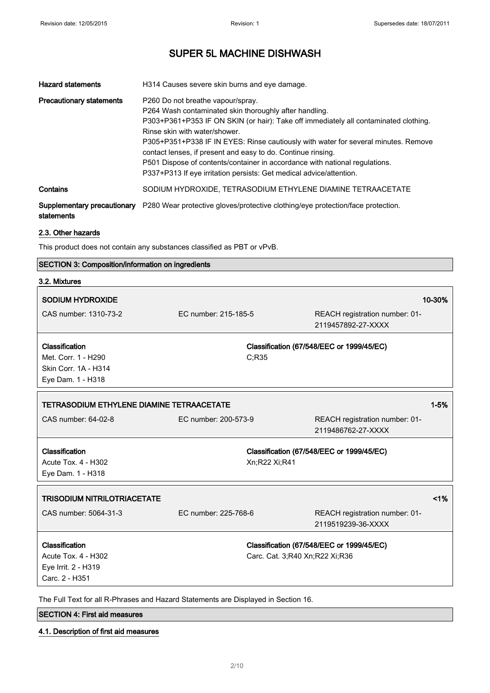| <b>Hazard statements</b>                  | H314 Causes severe skin burns and eye damage.                                                                                                                                                                                                                                                                                                                                                                                                                                                                                   |
|-------------------------------------------|---------------------------------------------------------------------------------------------------------------------------------------------------------------------------------------------------------------------------------------------------------------------------------------------------------------------------------------------------------------------------------------------------------------------------------------------------------------------------------------------------------------------------------|
| <b>Precautionary statements</b>           | P260 Do not breathe vapour/spray.<br>P264 Wash contaminated skin thoroughly after handling.<br>P303+P361+P353 IF ON SKIN (or hair): Take off immediately all contaminated clothing.<br>Rinse skin with water/shower<br>P305+P351+P338 IF IN EYES: Rinse cautiously with water for several minutes. Remove<br>contact lenses, if present and easy to do. Continue rinsing.<br>P501 Dispose of contents/container in accordance with national regulations.<br>P337+P313 If eye irritation persists: Get medical advice/attention. |
| Contains                                  | SODIUM HYDROXIDE, TETRASODIUM ETHYLENE DIAMINE TETRAACETATE                                                                                                                                                                                                                                                                                                                                                                                                                                                                     |
| Supplementary precautionary<br>statements | P280 Wear protective gloves/protective clothing/eye protection/face protection.                                                                                                                                                                                                                                                                                                                                                                                                                                                 |

#### 2.3. Other hazards

This product does not contain any substances classified as PBT or vPvB.

### SECTION 3: Composition/information on ingredients

| 3.2. Mixtures                             |                      |                                                      |
|-------------------------------------------|----------------------|------------------------------------------------------|
| <b>SODIUM HYDROXIDE</b>                   |                      | 10-30%                                               |
| CAS number: 1310-73-2                     | EC number: 215-185-5 | REACH registration number: 01-<br>2119457892-27-XXXX |
| Classification                            |                      |                                                      |
| Met. Corr. 1 - H290                       |                      | Classification (67/548/EEC or 1999/45/EC)            |
| Skin Corr. 1A - H314                      | C;R35                |                                                      |
|                                           |                      |                                                      |
| Eye Dam. 1 - H318                         |                      |                                                      |
| TETRASODIUM ETHYLENE DIAMINE TETRAACETATE |                      | $1 - 5%$                                             |
| CAS number: 64-02-8                       | EC number: 200-573-9 | REACH registration number: 01-                       |
|                                           |                      | 2119486762-27-XXXX                                   |
|                                           |                      |                                                      |
| Classification                            |                      | Classification (67/548/EEC or 1999/45/EC)            |
| Acute Tox. 4 - H302                       |                      | Xn;R22 Xi;R41                                        |
| Eye Dam. 1 - H318                         |                      |                                                      |
| <b>TRISODIUM NITRILOTRIACETATE</b>        |                      | 1%                                                   |
|                                           |                      |                                                      |
| CAS number: 5064-31-3                     | EC number: 225-768-6 | REACH registration number: 01-                       |
|                                           |                      | 2119519239-36-XXXX                                   |
| Classification                            |                      | Classification (67/548/EEC or 1999/45/EC)            |
| Acute Tox. 4 - H302                       |                      | Carc. Cat. 3;R40 Xn;R22 Xi;R36                       |
| Eye Irrit. 2 - H319                       |                      |                                                      |
| Carc. 2 - H351                            |                      |                                                      |
|                                           |                      |                                                      |

The Full Text for all R-Phrases and Hazard Statements are Displayed in Section 16.

## SECTION 4: First aid measures

### 4.1. Description of first aid measures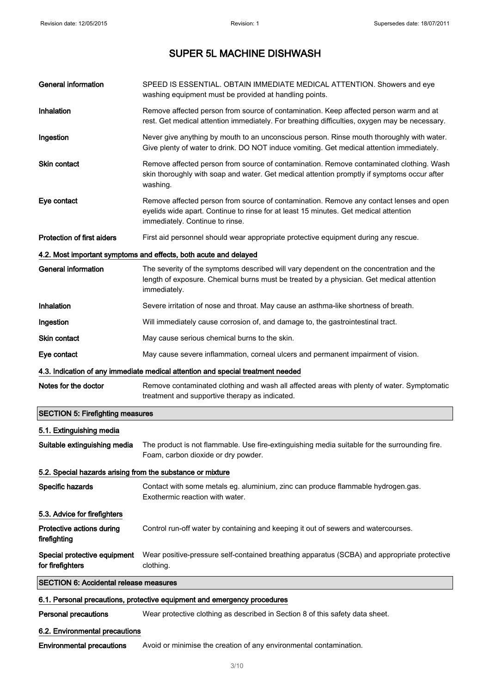| <b>General information</b>                                 | SPEED IS ESSENTIAL. OBTAIN IMMEDIATE MEDICAL ATTENTION. Showers and eve<br>washing equipment must be provided at handling points.                                                                                  |  |
|------------------------------------------------------------|--------------------------------------------------------------------------------------------------------------------------------------------------------------------------------------------------------------------|--|
| Inhalation                                                 | Remove affected person from source of contamination. Keep affected person warm and at<br>rest. Get medical attention immediately. For breathing difficulties, oxygen may be necessary.                             |  |
| Ingestion                                                  | Never give anything by mouth to an unconscious person. Rinse mouth thoroughly with water.<br>Give plenty of water to drink. DO NOT induce vomiting. Get medical attention immediately.                             |  |
| <b>Skin contact</b>                                        | Remove affected person from source of contamination. Remove contaminated clothing. Wash<br>skin thoroughly with soap and water. Get medical attention promptly if symptoms occur after<br>washing.                 |  |
| Eye contact                                                | Remove affected person from source of contamination. Remove any contact lenses and open<br>eyelids wide apart. Continue to rinse for at least 15 minutes. Get medical attention<br>immediately. Continue to rinse. |  |
| <b>Protection of first aiders</b>                          | First aid personnel should wear appropriate protective equipment during any rescue.                                                                                                                                |  |
|                                                            | 4.2. Most important symptoms and effects, both acute and delayed                                                                                                                                                   |  |
| <b>General information</b>                                 | The severity of the symptoms described will vary dependent on the concentration and the<br>length of exposure. Chemical burns must be treated by a physician. Get medical attention<br>immediately.                |  |
| Inhalation                                                 | Severe irritation of nose and throat. May cause an asthma-like shortness of breath.                                                                                                                                |  |
| Ingestion                                                  | Will immediately cause corrosion of, and damage to, the gastrointestinal tract.                                                                                                                                    |  |
| <b>Skin contact</b>                                        | May cause serious chemical burns to the skin.                                                                                                                                                                      |  |
| Eye contact                                                | May cause severe inflammation, corneal ulcers and permanent impairment of vision.                                                                                                                                  |  |
|                                                            | 4.3. Indication of any immediate medical attention and special treatment needed                                                                                                                                    |  |
| Notes for the doctor                                       | Remove contaminated clothing and wash all affected areas with plenty of water. Symptomatic<br>treatment and supportive therapy as indicated.                                                                       |  |
| <b>SECTION 5: Firefighting measures</b>                    |                                                                                                                                                                                                                    |  |
| 5.1. Extinguishing media                                   |                                                                                                                                                                                                                    |  |
| Suitable extinguishing media                               | The product is not flammable. Use fire-extinguishing media suitable for the surrounding fire.<br>Foam, carbon dioxide or dry powder.                                                                               |  |
| 5.2. Special hazards arising from the substance or mixture |                                                                                                                                                                                                                    |  |
| Specific hazards                                           | Contact with some metals eg. aluminium, zinc can produce flammable hydrogen.gas.<br>Exothermic reaction with water.                                                                                                |  |
| 5.3. Advice for firefighters                               |                                                                                                                                                                                                                    |  |
| Protective actions during<br>firefighting                  | Control run-off water by containing and keeping it out of sewers and watercourses.                                                                                                                                 |  |
| Special protective equipment<br>for firefighters           | Wear positive-pressure self-contained breathing apparatus (SCBA) and appropriate protective<br>clothing.                                                                                                           |  |
| <b>SECTION 6: Accidental release measures</b>              |                                                                                                                                                                                                                    |  |
|                                                            | 6.1. Personal precautions, protective equipment and emergency procedures                                                                                                                                           |  |
| <b>Personal precautions</b>                                | Wear protective clothing as described in Section 8 of this safety data sheet.                                                                                                                                      |  |
| 6.2. Environmental precautions                             |                                                                                                                                                                                                                    |  |
| <b>Environmental precautions</b>                           | Avoid or minimise the creation of any environmental contamination.                                                                                                                                                 |  |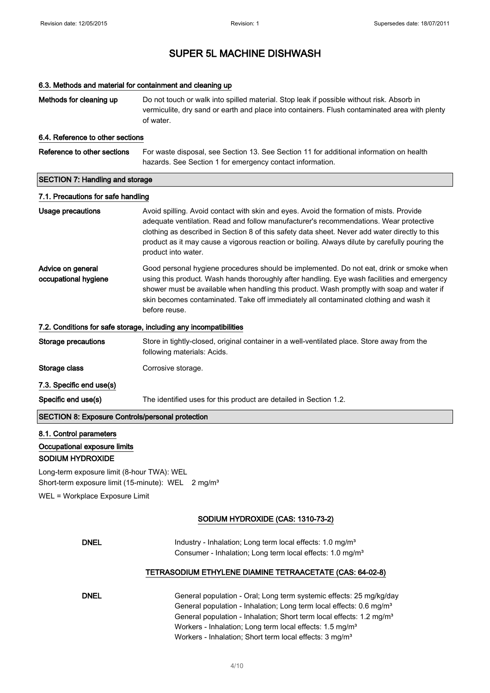#### 6.3. Methods and material for containment and cleaning up

Methods for cleaning up Do not touch or walk into spilled material. Stop leak if possible without risk. Absorb in vermiculite, dry sand or earth and place into containers. Flush contaminated area with plenty of water.

#### 6.4. Reference to other sections

| Reference to other sections            | For waste disposal, see Section 13. See Section 11 for additional information on health |  |
|----------------------------------------|-----------------------------------------------------------------------------------------|--|
|                                        | hazards. See Section 1 for emergency contact information.                               |  |
|                                        |                                                                                         |  |
| <b>SECTION 7: Handling and storage</b> |                                                                                         |  |

#### 7.1. Precautions for safe handling

## Usage precautions **Avoid spilling. Avoid contact with skin and eyes. Avoid the formation of mists. Provide** adequate ventilation. Read and follow manufacturer's recommendations. Wear protective clothing as described in Section 8 of this safety data sheet. Never add water directly to this product as it may cause a vigorous reaction or boiling. Always dilute by carefully pouring the product into water.

Advice on general occupational hygiene Good personal hygiene procedures should be implemented. Do not eat, drink or smoke when using this product. Wash hands thoroughly after handling. Eye wash facilities and emergency shower must be available when handling this product. Wash promptly with soap and water if skin becomes contaminated. Take off immediately all contaminated clothing and wash it before reuse.

#### 7.2. Conditions for safe storage, including any incompatibilities

Storage precautions Store in tightly-closed, original container in a well-ventilated place. Store away from the following materials: Acids.

Storage class Corrosive storage.

7.3. Specific end use(s)

Specific end use(s) The identified uses for this product are detailed in Section 1.2.

SECTION 8: Exposure Controls/personal protection

### 8.1. Control parameters

### Occupational exposure limits

SODIUM HYDROXIDE

Long-term exposure limit (8-hour TWA): WEL Short-term exposure limit (15-minute): WEL 2 mg/m<sup>3</sup>

WEL = Workplace Exposure Limit

#### SODIUM HYDROXIDE (CAS: 1310-73-2)

| <b>DNEL</b> | Industry - Inhalation: Long term local effects: 1.0 mg/m <sup>3</sup> |  |
|-------------|-----------------------------------------------------------------------|--|
|             | Consumer - Inhalation; Long term local effects: 1.0 mg/m <sup>3</sup> |  |

#### TETRASODIUM ETHYLENE DIAMINE TETRAACETATE (CAS: 64-02-8)

| General population - Oral; Long term systemic effects: 25 mg/kg/day              |
|----------------------------------------------------------------------------------|
| General population - Inhalation; Long term local effects: 0.6 mg/m <sup>3</sup>  |
| General population - Inhalation; Short term local effects: 1.2 mg/m <sup>3</sup> |
| Workers - Inhalation; Long term local effects: 1.5 mg/m <sup>3</sup>             |
| Workers - Inhalation; Short term local effects: 3 mg/m <sup>3</sup>              |
|                                                                                  |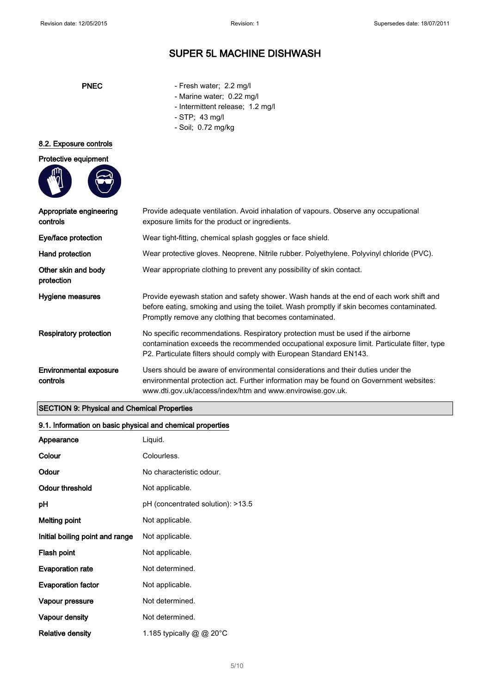- PNEC Fresh water; 2.2 mg/l
	- Marine water; 0.22 mg/l
	- Intermittent release; 1.2 mg/l
	- STP; 43 mg/l
	- Soil; 0.72 mg/kg

#### 8.2. Exposure controls



| Appropriate engineering<br>controls       | Provide adequate ventilation. Avoid inhalation of vapours. Observe any occupational<br>exposure limits for the product or ingredients.                                                                                                                 |
|-------------------------------------------|--------------------------------------------------------------------------------------------------------------------------------------------------------------------------------------------------------------------------------------------------------|
| Eye/face protection                       | Wear tight-fitting, chemical splash goggles or face shield.                                                                                                                                                                                            |
| Hand protection                           | Wear protective gloves. Neoprene. Nitrile rubber. Polyethylene. Polyvinyl chloride (PVC).                                                                                                                                                              |
| Other skin and body<br>protection         | Wear appropriate clothing to prevent any possibility of skin contact.                                                                                                                                                                                  |
| Hygiene measures                          | Provide eyewash station and safety shower. Wash hands at the end of each work shift and<br>before eating, smoking and using the toilet. Wash promptly if skin becomes contaminated.<br>Promptly remove any clothing that becomes contaminated.         |
| <b>Respiratory protection</b>             | No specific recommendations. Respiratory protection must be used if the airborne<br>contamination exceeds the recommended occupational exposure limit. Particulate filter, type<br>P2. Particulate filters should comply with European Standard EN143. |
| <b>Environmental exposure</b><br>controls | Users should be aware of environmental considerations and their duties under the<br>environmental protection act. Further information may be found on Government websites:<br>www.dti.gov.uk/access/index/htm and www.envirowise.gov.uk.               |
|                                           |                                                                                                                                                                                                                                                        |

### SECTION 9: Physical and Chemical Properties

### 9.1. Information on basic physical and chemical properties

| Appearance                      | Liquid.                           |
|---------------------------------|-----------------------------------|
| Colour                          | Colourless.                       |
| Odour                           | No characteristic odour.          |
| Odour threshold                 | Not applicable.                   |
| рH                              | pH (concentrated solution): >13.5 |
| <b>Melting point</b>            | Not applicable.                   |
| Initial boiling point and range | Not applicable.                   |
| Flash point                     | Not applicable.                   |
| <b>Evaporation rate</b>         | Not determined.                   |
| <b>Evaporation factor</b>       | Not applicable.                   |
| Vapour pressure                 | Not determined.                   |
| Vapour density                  | Not determined.                   |
| <b>Relative density</b>         | 1.185 typically @ @ 20°C          |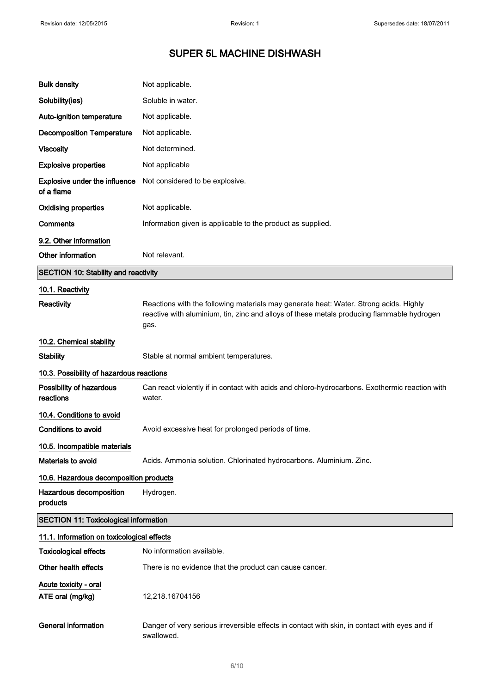| <b>Bulk density</b>                                | Not applicable.                                                                                                                                                                             |
|----------------------------------------------------|---------------------------------------------------------------------------------------------------------------------------------------------------------------------------------------------|
| Solubility(ies)                                    | Soluble in water.                                                                                                                                                                           |
| Auto-ignition temperature                          | Not applicable.                                                                                                                                                                             |
| <b>Decomposition Temperature</b>                   | Not applicable.                                                                                                                                                                             |
| <b>Viscosity</b>                                   | Not determined.                                                                                                                                                                             |
| <b>Explosive properties</b>                        | Not applicable                                                                                                                                                                              |
| <b>Explosive under the influence</b><br>of a flame | Not considered to be explosive.                                                                                                                                                             |
| <b>Oxidising properties</b>                        | Not applicable.                                                                                                                                                                             |
| Comments                                           | Information given is applicable to the product as supplied.                                                                                                                                 |
| 9.2. Other information                             |                                                                                                                                                                                             |
| Other information                                  | Not relevant.                                                                                                                                                                               |
| <b>SECTION 10: Stability and reactivity</b>        |                                                                                                                                                                                             |
| 10.1. Reactivity                                   |                                                                                                                                                                                             |
| <b>Reactivity</b>                                  | Reactions with the following materials may generate heat: Water. Strong acids. Highly<br>reactive with aluminium, tin, zinc and alloys of these metals producing flammable hydrogen<br>gas. |
| 10.2. Chemical stability                           |                                                                                                                                                                                             |
| <b>Stability</b>                                   | Stable at normal ambient temperatures.                                                                                                                                                      |
| 10.3. Possibility of hazardous reactions           |                                                                                                                                                                                             |
| Possibility of hazardous<br>reactions              | Can react violently if in contact with acids and chloro-hydrocarbons. Exothermic reaction with<br>water.                                                                                    |
| 10.4. Conditions to avoid                          |                                                                                                                                                                                             |
| <b>Conditions to avoid</b>                         | Avoid excessive heat for prolonged periods of time.                                                                                                                                         |
| 10.5. Incompatible materials                       |                                                                                                                                                                                             |
| <b>Materials to avoid</b>                          | Acids. Ammonia solution. Chlorinated hydrocarbons. Aluminium. Zinc.                                                                                                                         |
| 10.6. Hazardous decomposition products             |                                                                                                                                                                                             |
| Hazardous decomposition<br>products                | Hydrogen.                                                                                                                                                                                   |
| <b>SECTION 11: Toxicological information</b>       |                                                                                                                                                                                             |
| 11.1. Information on toxicological effects         |                                                                                                                                                                                             |
| <b>Toxicological effects</b>                       | No information available.                                                                                                                                                                   |
| Other health effects                               | There is no evidence that the product can cause cancer.                                                                                                                                     |
| Acute toxicity - oral<br>ATE oral (mg/kg)          | 12,218.16704156                                                                                                                                                                             |
| <b>General information</b>                         | Danger of very serious irreversible effects in contact with skin, in contact with eyes and if<br>swallowed.                                                                                 |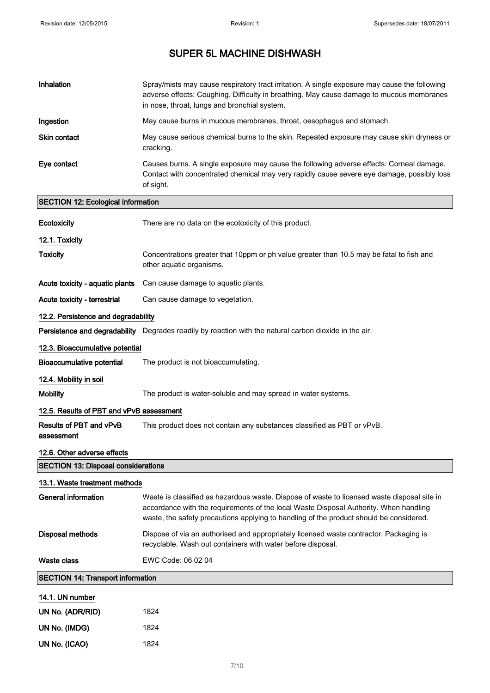| Inhalation                                 | Spray/mists may cause respiratory tract irritation. A single exposure may cause the following<br>adverse effects: Coughing. Difficulty in breathing. May cause damage to mucous membranes<br>in nose, throat, lungs and bronchial system.                                       |
|--------------------------------------------|---------------------------------------------------------------------------------------------------------------------------------------------------------------------------------------------------------------------------------------------------------------------------------|
| Ingestion                                  | May cause burns in mucous membranes, throat, oesophagus and stomach.                                                                                                                                                                                                            |
| Skin contact                               | May cause serious chemical burns to the skin. Repeated exposure may cause skin dryness or<br>cracking.                                                                                                                                                                          |
| Eye contact                                | Causes burns. A single exposure may cause the following adverse effects: Corneal damage.<br>Contact with concentrated chemical may very rapidly cause severe eye damage, possibly loss<br>of sight.                                                                             |
| <b>SECTION 12: Ecological Information</b>  |                                                                                                                                                                                                                                                                                 |
| Ecotoxicity                                | There are no data on the ecotoxicity of this product.                                                                                                                                                                                                                           |
| 12.1. Toxicity                             |                                                                                                                                                                                                                                                                                 |
| <b>Toxicity</b>                            | Concentrations greater that 10ppm or ph value greater than 10.5 may be fatal to fish and<br>other aquatic organisms.                                                                                                                                                            |
| Acute toxicity - aquatic plants            | Can cause damage to aquatic plants.                                                                                                                                                                                                                                             |
| Acute toxicity - terrestrial               | Can cause damage to vegetation.                                                                                                                                                                                                                                                 |
| 12.2. Persistence and degradability        |                                                                                                                                                                                                                                                                                 |
|                                            | Persistence and degradability Degrades readily by reaction with the natural carbon dioxide in the air.                                                                                                                                                                          |
| 12.3. Bioaccumulative potential            |                                                                                                                                                                                                                                                                                 |
| <b>Bioaccumulative potential</b>           | The product is not bioaccumulating.                                                                                                                                                                                                                                             |
| 12.4. Mobility in soil                     |                                                                                                                                                                                                                                                                                 |
| <b>Mobility</b>                            | The product is water-soluble and may spread in water systems.                                                                                                                                                                                                                   |
| 12.5. Results of PBT and vPvB assessment   |                                                                                                                                                                                                                                                                                 |
| Results of PBT and vPvB<br>assessment      | This product does not contain any substances classified as PBT or vPvB.                                                                                                                                                                                                         |
| 12.6. Other adverse effects                |                                                                                                                                                                                                                                                                                 |
| <b>SECTION 13: Disposal considerations</b> |                                                                                                                                                                                                                                                                                 |
| 13.1. Waste treatment methods              |                                                                                                                                                                                                                                                                                 |
| General information                        | Waste is classified as hazardous waste. Dispose of waste to licensed waste disposal site in<br>accordance with the requirements of the local Waste Disposal Authority. When handling<br>waste, the safety precautions applying to handling of the product should be considered. |
| <b>Disposal methods</b>                    | Dispose of via an authorised and appropriately licensed waste contractor. Packaging is<br>recyclable. Wash out containers with water before disposal.                                                                                                                           |
| Waste class                                | EWC Code: 06 02 04                                                                                                                                                                                                                                                              |
| <b>SECTION 14: Transport information</b>   |                                                                                                                                                                                                                                                                                 |
| 14.1. UN number                            |                                                                                                                                                                                                                                                                                 |
| UN No. (ADR/RID)                           | 1824                                                                                                                                                                                                                                                                            |
| UN No. (IMDG)                              | 1824                                                                                                                                                                                                                                                                            |
| UN No. (ICAO)                              | 1824                                                                                                                                                                                                                                                                            |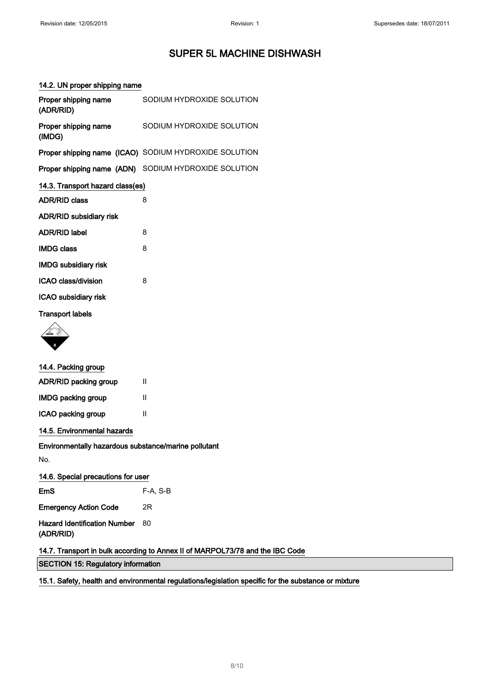### 14.2. UN proper shipping name

| Proper shipping name<br>(ADR/RID) | SODIUM HYDROXIDE SOLUTION                             |
|-----------------------------------|-------------------------------------------------------|
| Proper shipping name<br>(IMDG)    | SODIUM HYDROXIDE SOLUTION                             |
|                                   | Proper shipping name (ICAO) SODIUM HYDROXIDE SOLUTION |
|                                   | Proper shipping name (ADN) SODIUM HYDROXIDE SOLUTION  |
| 14.3. Transport hazard class(es)  |                                                       |
| <b>ADR/RID class</b>              | 8                                                     |
| ADR/RID subsidiary risk           |                                                       |
| <b>ADR/RID label</b>              | 8                                                     |
| <b>IMDG class</b>                 | 8                                                     |
| <b>IMDG subsidiary risk</b>       |                                                       |
| ICAO class/division               | 8                                                     |
| ICAO subsidiary risk              |                                                       |
| <b>Transport labels</b>           |                                                       |
|                                   |                                                       |

| 14.4. Packing group                                                           |          |  |
|-------------------------------------------------------------------------------|----------|--|
| ADR/RID packing group                                                         | Ш        |  |
| <b>IMDG packing group</b>                                                     | Ш        |  |
| ICAO packing group                                                            | Ш        |  |
| 14.5. Environmental hazards                                                   |          |  |
| Environmentally hazardous substance/marine pollutant                          |          |  |
| No.                                                                           |          |  |
| 14.6. Special precautions for user                                            |          |  |
| EmS                                                                           | F-A, S-B |  |
| <b>Emergency Action Code</b>                                                  | 2R       |  |
| <b>Hazard Identification Number</b><br>(ADR/RID)                              | 80       |  |
| 14.7. Transport in bulk according to Annex II of MARPOL73/78 and the IBC Code |          |  |
| <b>SECTION 15: Regulatory information</b>                                     |          |  |

15.1. Safety, health and environmental regulations/legislation specific for the substance or mixture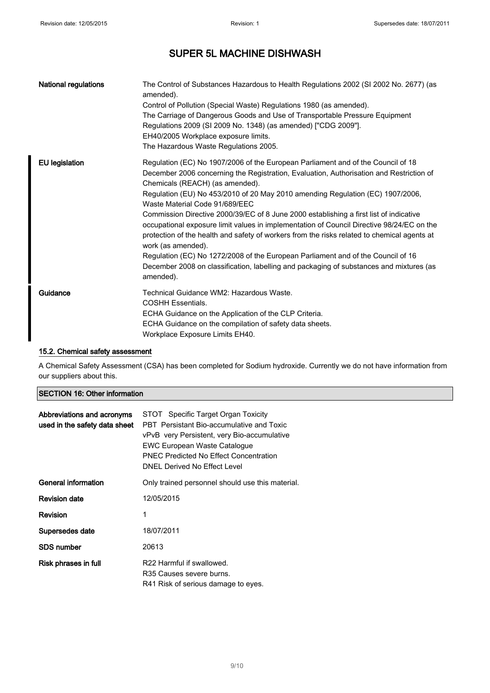| <b>National regulations</b> | The Control of Substances Hazardous to Health Regulations 2002 (SI 2002 No. 2677) (as<br>amended).<br>Control of Pollution (Special Waste) Regulations 1980 (as amended).<br>The Carriage of Dangerous Goods and Use of Transportable Pressure Equipment<br>Regulations 2009 (SI 2009 No. 1348) (as amended) ["CDG 2009"].<br>EH40/2005 Workplace exposure limits.<br>The Hazardous Waste Regulations 2005.                                                                                                                                                                                                                                                                                                                                                                                                                                |
|-----------------------------|--------------------------------------------------------------------------------------------------------------------------------------------------------------------------------------------------------------------------------------------------------------------------------------------------------------------------------------------------------------------------------------------------------------------------------------------------------------------------------------------------------------------------------------------------------------------------------------------------------------------------------------------------------------------------------------------------------------------------------------------------------------------------------------------------------------------------------------------|
| <b>EU legislation</b>       | Regulation (EC) No 1907/2006 of the European Parliament and of the Council of 18<br>December 2006 concerning the Registration, Evaluation, Authorisation and Restriction of<br>Chemicals (REACH) (as amended).<br>Regulation (EU) No 453/2010 of 20 May 2010 amending Regulation (EC) 1907/2006,<br>Waste Material Code 91/689/EEC<br>Commission Directive 2000/39/EC of 8 June 2000 establishing a first list of indicative<br>occupational exposure limit values in implementation of Council Directive 98/24/EC on the<br>protection of the health and safety of workers from the risks related to chemical agents at<br>work (as amended).<br>Regulation (EC) No 1272/2008 of the European Parliament and of the Council of 16<br>December 2008 on classification, labelling and packaging of substances and mixtures (as<br>amended). |
| Guidance                    | Technical Guidance WM2: Hazardous Waste.<br><b>COSHH Essentials.</b><br>ECHA Guidance on the Application of the CLP Criteria.<br>ECHA Guidance on the compilation of safety data sheets.<br>Workplace Exposure Limits EH40.                                                                                                                                                                                                                                                                                                                                                                                                                                                                                                                                                                                                                |

### 15.2. Chemical safety assessment

A Chemical Safety Assessment (CSA) has been completed for Sodium hydroxide. Currently we do not have information from our suppliers about this.

| Abbreviations and acronyms<br>used in the safety data sheet | STOT Specific Target Organ Toxicity<br>PBT Persistant Bio-accumulative and Toxic<br>vPvB very Persistent, very Bio-accumulative<br>EWC European Waste Catalogue<br><b>PNFC Predicted No Effect Concentration</b><br>DNEL Derived No Effect Level |
|-------------------------------------------------------------|--------------------------------------------------------------------------------------------------------------------------------------------------------------------------------------------------------------------------------------------------|
| General information                                         | Only trained personnel should use this material.                                                                                                                                                                                                 |
| <b>Revision date</b>                                        | 12/05/2015                                                                                                                                                                                                                                       |
| Revision                                                    | 1                                                                                                                                                                                                                                                |
| Supersedes date                                             | 18/07/2011                                                                                                                                                                                                                                       |
| SDS number                                                  | 20613                                                                                                                                                                                                                                            |
| Risk phrases in full                                        | R22 Harmful if swallowed.<br>R35 Causes severe burns.<br>R41 Risk of serious damage to eyes.                                                                                                                                                     |